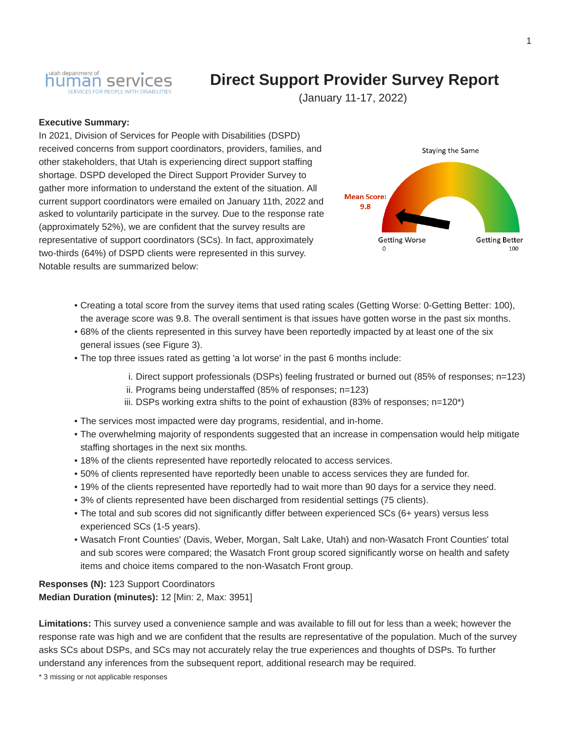

# **Direct Support Provider Survey Report**

(January 11-17, 2022)

#### **Executive Summary:**

In 2021, Division of Services for People with Disabilities (DSPD) received concerns from support coordinators, providers, families, and other stakeholders, that Utah is experiencing direct support staffing shortage. DSPD developed the Direct Support Provider Survey to gather more information to understand the extent of the situation. All current support coordinators were emailed on January 11th, 2022 and asked to voluntarily participate in the survey. Due to the response rate (approximately 52%), we are confident that the survey results are representative of support coordinators (SCs). In fact, approximately two-thirds (64%) of DSPD clients were represented in this survey. Notable results are summarized below:



- Creating a total score from the survey items that used rating scales (Getting Worse: 0-Getting Better: 100), the average score was 9.8. The overall sentiment is that issues have gotten worse in the past six months.
- 68% of the clients represented in this survey have been reportedly impacted by at least one of the six general issues (see Figure 3).
- The top three issues rated as getting 'a lot worse' in the past 6 months include:
	- i. Direct support professionals (DSPs) feeling frustrated or burned out (85% of responses; n=123)
	- ii. Programs being understaffed (85% of responses; n=123)
	- iii. DSPs working extra shifts to the point of exhaustion  $(83\%$  of responses;  $n=120<sup>*</sup>$ )
- The services most impacted were day programs, residential, and in-home.
- The overwhelming majority of respondents suggested that an increase in compensation would help mitigate staffing shortages in the next six months.
- 18% of the clients represented have reportedly relocated to access services.
- 50% of clients represented have reportedly been unable to access services they are funded for.
- 19% of the clients represented have reportedly had to wait more than 90 days for a service they need.
- 3% of clients represented have been discharged from residential settings (75 clients).
- The total and sub scores did not significantly differ between experienced SCs (6+ years) versus less experienced SCs (1-5 years).
- Wasatch Front Counties' (Davis, Weber, Morgan, Salt Lake, Utah) and non-Wasatch Front Counties' total and sub scores were compared; the Wasatch Front group scored significantly worse on health and safety items and choice items compared to the non-Wasatch Front group.

**Responses (N):** 123 Support Coordinators **Median Duration (minutes):** 12 [Min: 2, Max: 3951]

**Limitations:** This survey used a convenience sample and was available to fill out for less than a week; however the response rate was high and we are confident that the results are representative of the population. Much of the survey asks SCs about DSPs, and SCs may not accurately relay the true experiences and thoughts of DSPs. To further understand any inferences from the subsequent report, additional research may be required.

\* 3 missing or not applicable responses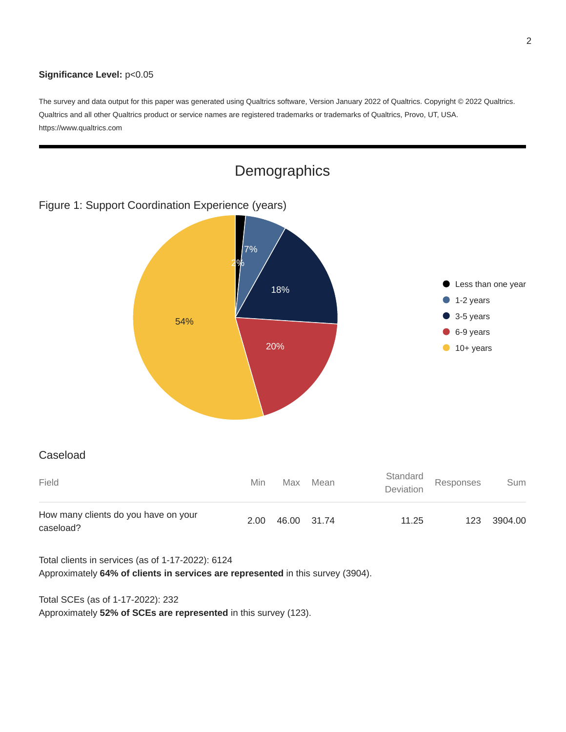#### **Significance Level:** p<0.05

The survey and data output for this paper was generated using Qualtrics software, Version January 2022 of Qualtrics. Copyright @ 2022 Qualtrics. Qualtrics and all other Qualtrics product or service names are registered trademarks or trademarks of Qualtrics, Provo, UT, USA. https://www.qualtrics.com



Total clients in services (as of 1-17-2022): 6124

Approximately **64% of clients in services are represented** in this survey (3904).

Total SCEs (as of 1-17-2022): 232

Approximately **52% of SCEs are represented** in this survey (123).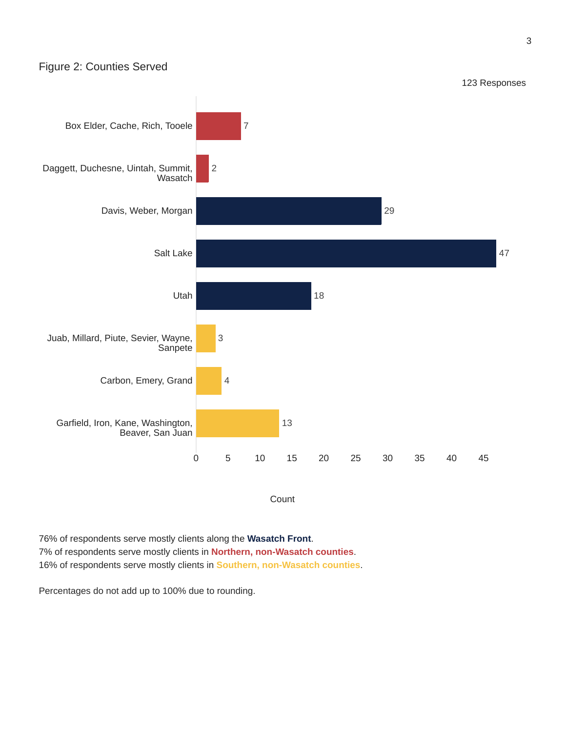### Figure 2: Counties Served



#### Count

76% of respondents serve mostly clients along the **Wasatch Front**. 7% of respondents serve mostly clients in **Northern, non-Wasatch counties**. 16% of respondents serve mostly clients in **Southern, non-Wasatch counties**.

Percentages do not add up to 100% due to rounding.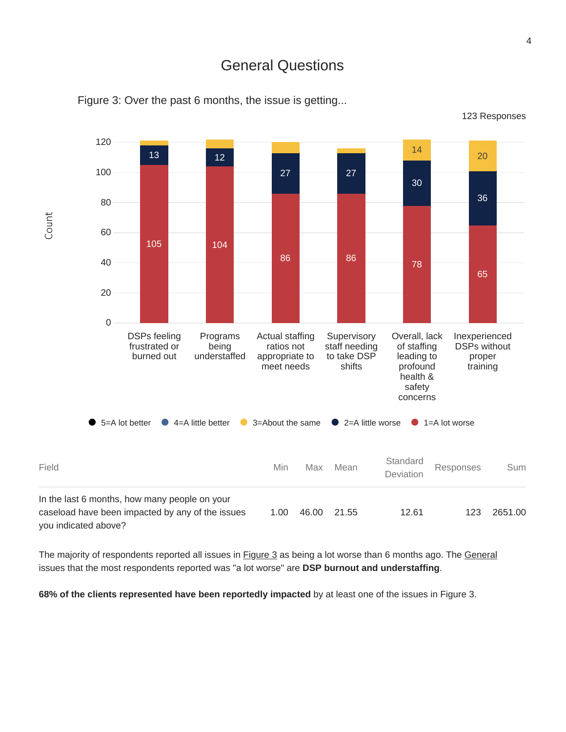# General Questions



Figure 3: Over the past 6 months, the issue is getting...

The majority of respondents reported all issues in **Figure 3** as being a lot worse than 6 months ago. The General issues that the most respondents reported was "a lot worse" are **DSP burnout and understaffing**.

**68% of the clients represented have been reportedly impacted** by at least one of the issues in Figure 3.

123 Responses

Count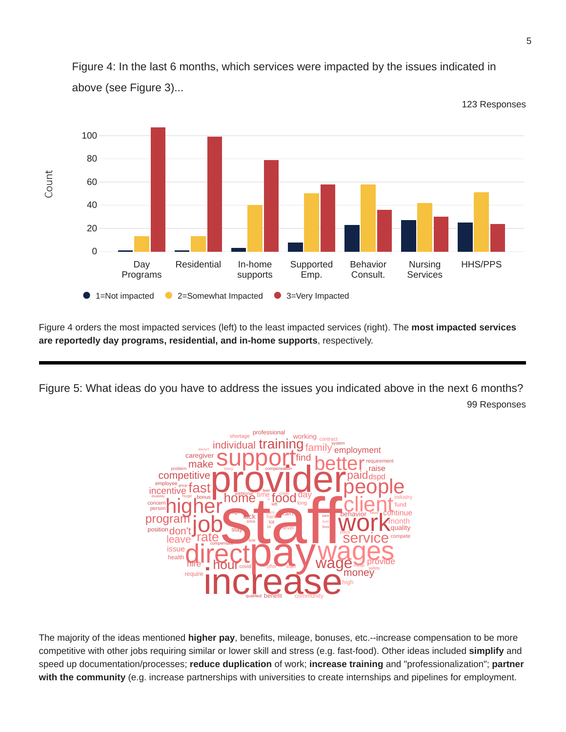

Figure 4: In the last 6 months, which services were impacted by the issues indicated in above (see Figure 3)...

Figure 4 orders the most impacted services (left) to the least impacted services (right). The **most impacted services are reportedly day programs, residential, and in-home supports**, respectively.

Figure 5: What ideas do you have to address the issues you indicated above in the next 6 months? 99 Responses



The majority of the ideas mentioned **higher pay**, benefits, mileage, bonuses, etc.--increase compensation to be more competitive with other jobs requiring similar or lower skill and stress (e.g. fast-food). Other ideas included **simplify** and speed up documentation/processes; **reduce duplication** of work; **increase training** and "professionalization"; **partner with the community** (e.g. increase partnerships with universities to create internships and pipelines for employment.

123 Responses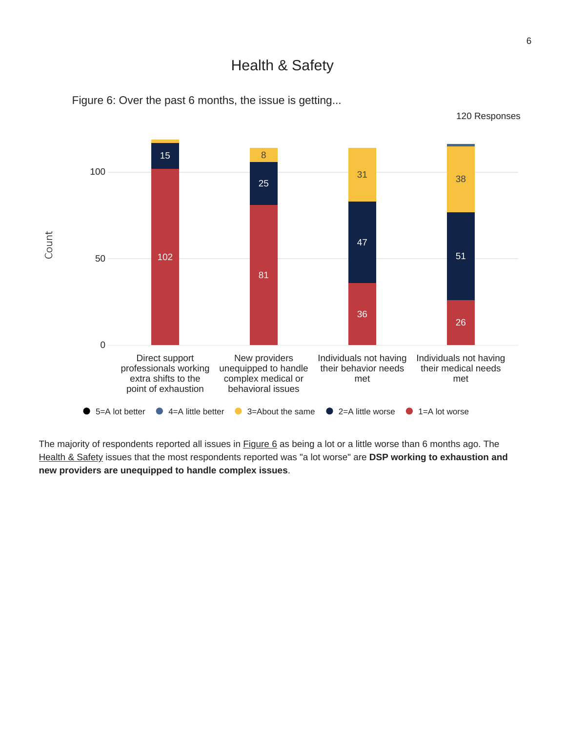Health & Safety



Figure 6: Over the past 6 months, the issue is getting...

The majority of respondents reported all issues in **Figure 6** as being a lot or a little worse than 6 months ago. The Health & Safety issues that the most respondents reported was "a lot worse" are **DSP working to exhaustion and new providers are unequipped to handle complex issues**.

120 Responses

6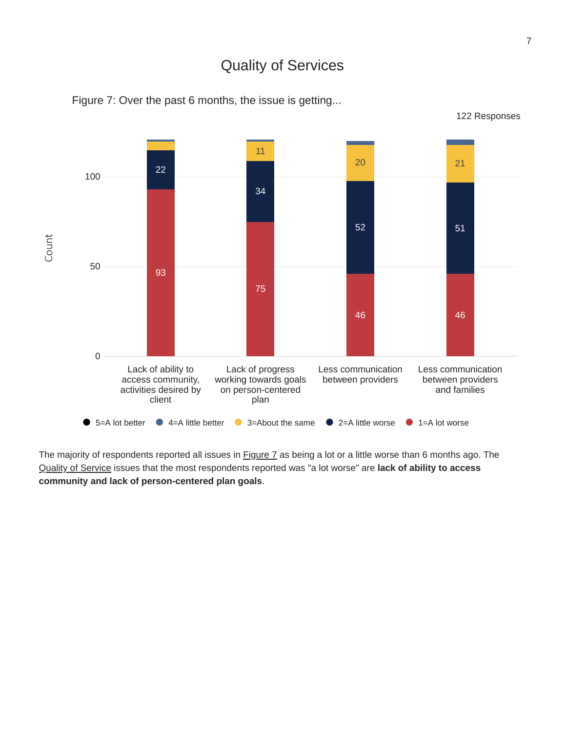### Quality of Services



Figure 7: Over the past 6 months, the issue is getting...

The majority of respondents reported all issues in **Figure 7** as being a lot or a little worse than 6 months ago. The Quality of Service issues that the most respondents reported was "a lot worse" are **lack of ability to access community and lack of person-centered plan goals**.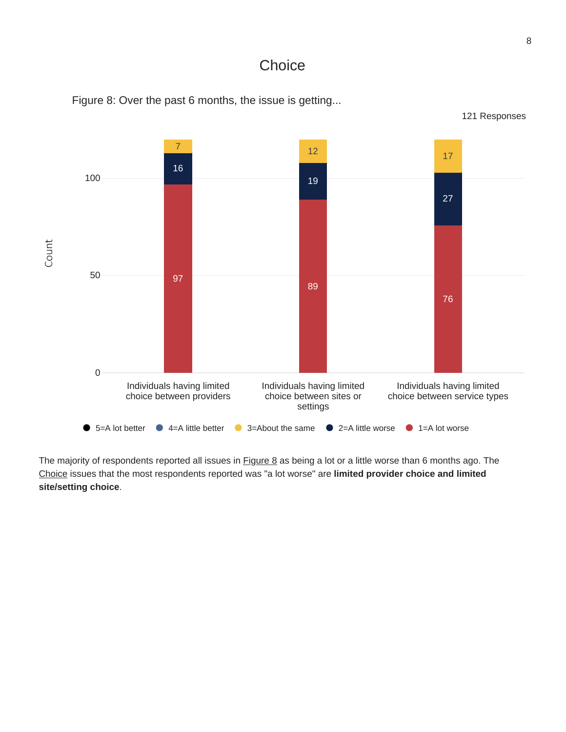### **Choice**



Figure 8: Over the past 6 months, the issue is getting...

The majority of respondents reported all issues in **Figure 8** as being a lot or a little worse than 6 months ago. The Choice issues that the most respondents reported was "a lot worse" are **limited provider choice and limited site/setting choice**.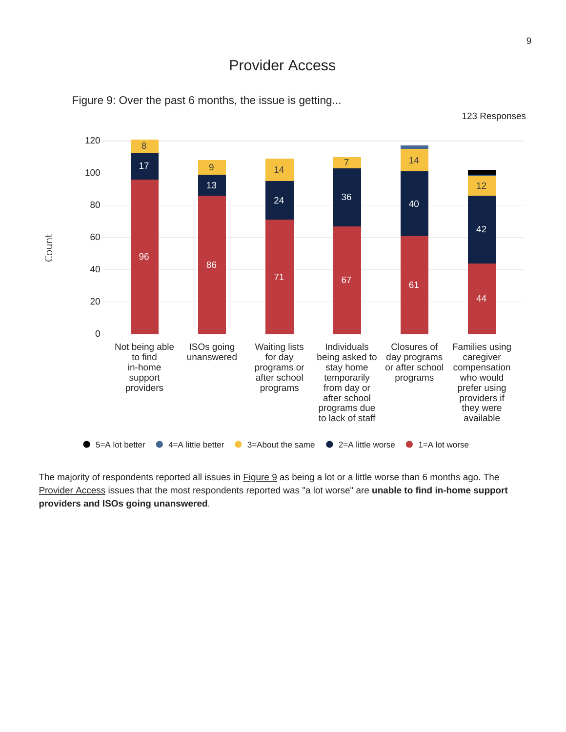# Provider Access



Figure 9: Over the past 6 months, the issue is getting...

123 Responses

The majority of respondents reported all issues in **Figure 9** as being a lot or a little worse than 6 months ago. The Provider Access issues that the most respondents reported was "a lot worse" are **unable to find in-home support providers and ISOs going unanswered**.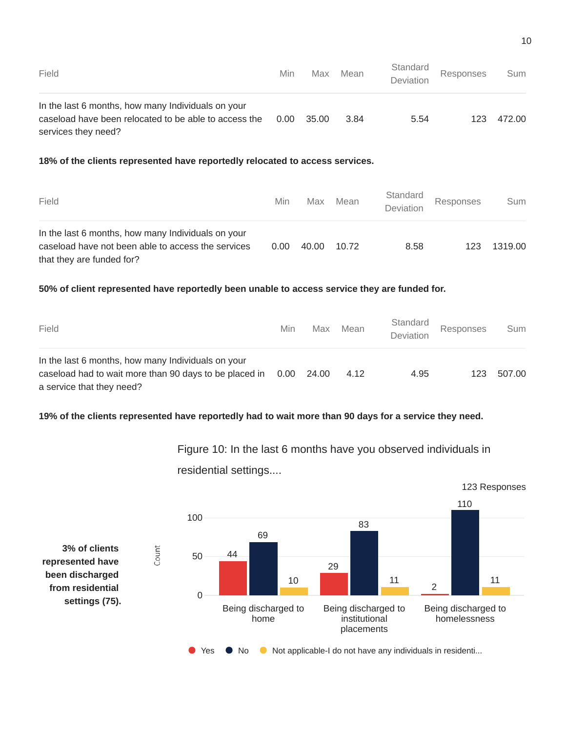| Field                                                                                                                              | Min  | Max     | Mean | Standard<br><b>Deviation</b> | Responses | Sum    |
|------------------------------------------------------------------------------------------------------------------------------------|------|---------|------|------------------------------|-----------|--------|
| In the last 6 months, how many Individuals on your<br>caseload have been relocated to be able to access the<br>services they need? | 0.00 | - 35.00 | 3 84 | 5.54                         | 123       | 472.00 |

### **18% of the clients represented have reportedly relocated to access services.**

| Field                                                                                                                                 | Min  | Max   | Mean  | Standard<br>Deviation | Responses | Sum     |
|---------------------------------------------------------------------------------------------------------------------------------------|------|-------|-------|-----------------------|-----------|---------|
| In the last 6 months, how many Individuals on your<br>caseload have not been able to access the services<br>that they are funded for? | 0.00 | 40.00 | 10.72 | 8.58                  | 123       | 1319.00 |

#### **50% of client represented have reportedly been unable to access service they are funded for.**

| Field                                                                                                                                     | Min | Max        | Mean | Standard<br>Deviation | Responses | Sum    |
|-------------------------------------------------------------------------------------------------------------------------------------------|-----|------------|------|-----------------------|-----------|--------|
| In the last 6 months, how many Individuals on your<br>caseload had to wait more than 90 days to be placed in<br>a service that they need? |     | 0.00 24.00 | 4.12 | 4.95                  | 123       | 507.00 |

#### 19% of the clients represented have reportedly had to wait more than 90 days for a service they need.

123 Responses 110 100 83 69 **3% of clients** Count 44 50 **represented have** 29 **been discharged** 10 11 11 11 11 2**from residential** 0 **settings (75).** Being discharged to Being discharged to Being discharged to homelessness home institutional placements ● Yes ● No ● Not applicable-I do not have any individuals in residenti...

Figure 10: In the last 6 months have you observed individuals in

residential settings....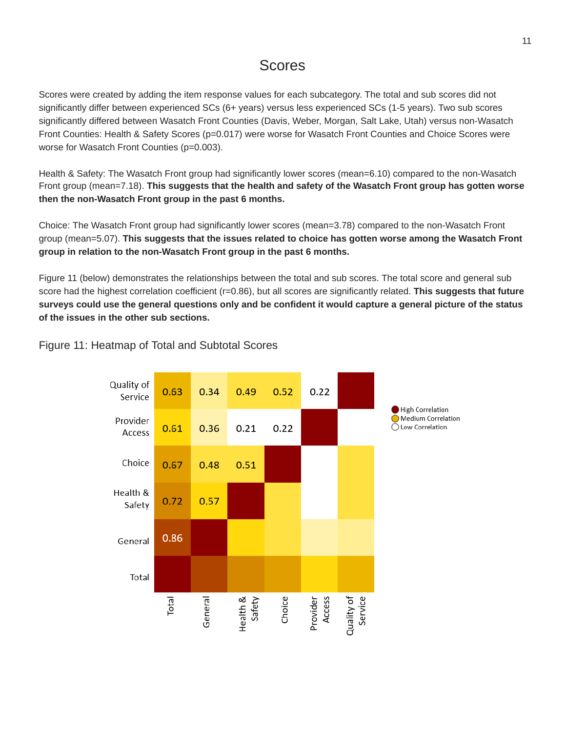## Scores

Scores were created by adding the item response values for each subcategory. The total and sub scores did not significantly differ between experienced SCs (6+ years) versus less experienced SCs (1-5 years). Two sub scores significantly differed between Wasatch Front Counties (Davis, Weber, Morgan, Salt Lake, Utah) versus non-Wasatch Front Counties: Health & Safety Scores (p=0.017) were worse for Wasatch Front Counties and Choice Scores were worse for Wasatch Front Counties (p=0.003).

Health & Safety: The Wasatch Front group had significantly lower scores (mean=6.10) compared to the non-Wasatch Front group (mean=7.18). **This suggests that the health and safety of the Wasatch Front group has gotten worse then the non-Wasatch Front group in the past 6 months.**

Choice: The Wasatch Front group had significantly lower scores (mean=3.78) compared to the non-Wasatch Front group (mean=5.07). **This suggests that the issues related to choice has gotten worse among the Wasatch Front group in relation to the non-Wasatch Front group in the past 6 months.**

Figure 11 (below) demonstrates the relationships between the total and sub scores. The total score and general sub score had the highest correlation coefficient (r=0.86), but all scores are significantly related. **This suggests that future** surveys could use the general questions only and be confident it would capture a general picture of the status **of the issues in the other sub sections.**

#### Quality of 0.63 0.34 0.49  $0.52$  $0.22$ Service **High Correlation** Medium Correlation Provider ◯ Low Correlation 0.61 0.36  $0.21$  $0.22$ Access Choice 0.51 0.67 0.48 Health & 0.57 0.72 Safety 0.86 General Total Health &<br>Safety Quality of<br>Service Total Provider<br>Access Choice General

### Figure 11: Heatmap of Total and Subtotal Scores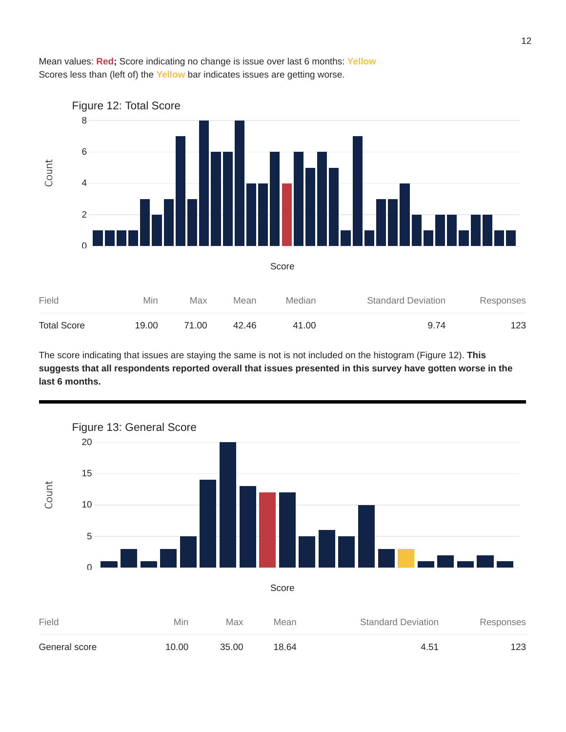



The score indicating that issues are staying the same is not is not included on the histogram (Figure 12). **This** suggests that all respondents reported overall that issues presented in this survey have gotten worse in the **last 6 months.**

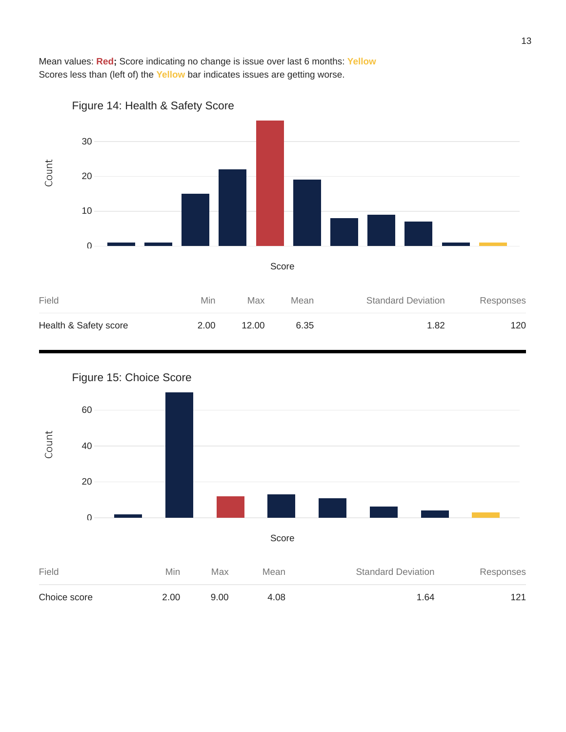Mean values: **Red;** Score indicating no change is issue over last 6 months: **Yellow** Scores less than (left of) the **Yellow** bar indicates issues are getting worse.







13